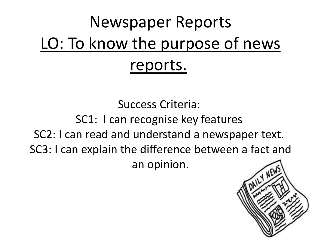# Newspaper Reports LO: To know the purpose of news reports.

Success Criteria:

SC1: I can recognise key features

SC2: I can read and understand a newspaper text.

SC3: I can explain the difference between a fact and

an opinion.

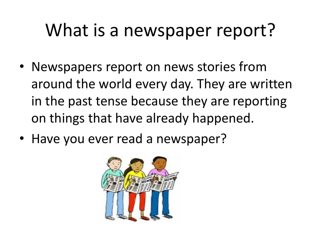### What is a newspaper report?

- Newspapers report on news stories from around the world every day. They are written in the past tense because they are reporting on things that have already happened.
- Have you ever read a newspaper?

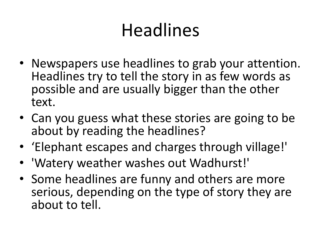# Headlines

- Newspapers use headlines to grab your attention. Headlines try to tell the story in as few words as possible and are usually bigger than the other text.
- Can you guess what these stories are going to be about by reading the headlines?
- 'Elephant escapes and charges through village!'
- 'Watery weather washes out Wadhurst!'
- Some headlines are funny and others are more serious, depending on the type of story they are about to tell.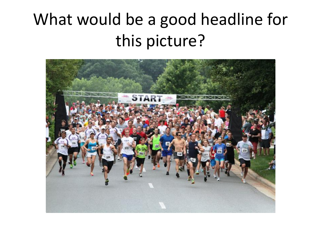### What would be a good headline for this picture?

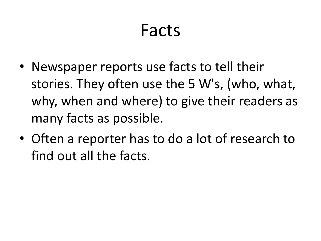### Facts

- Newspaper reports use facts to tell their stories. They often use the 5 W's, (who, what, why, when and where) to give their readers as many facts as possible.
- Often a reporter has to do a lot of research to find out all the facts.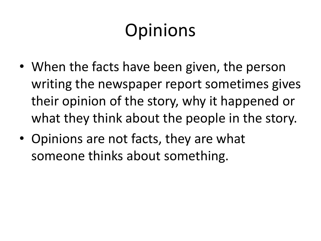# Opinions

- When the facts have been given, the person writing the newspaper report sometimes gives their opinion of the story, why it happened or what they think about the people in the story.
- Opinions are not facts, they are what someone thinks about something.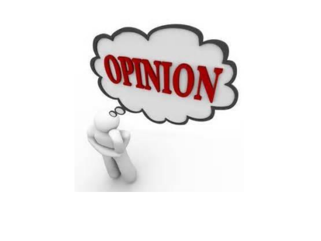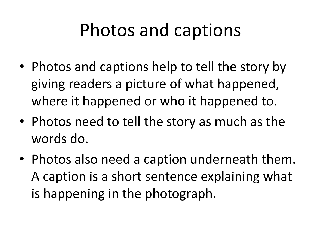### Photos and captions

- Photos and captions help to tell the story by giving readers a picture of what happened, where it happened or who it happened to.
- Photos need to tell the story as much as the words do.
- Photos also need a caption underneath them. A caption is a short sentence explaining what is happening in the photograph.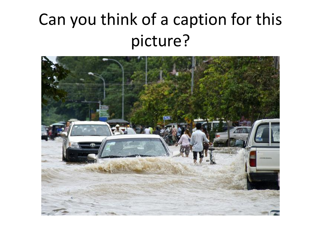### Can you think of a caption for this picture?

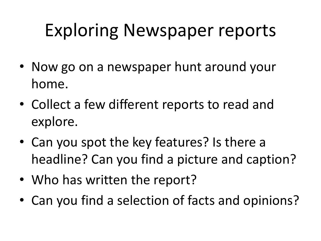## Exploring Newspaper reports

- Now go on a newspaper hunt around your home.
- Collect a few different reports to read and explore.
- Can you spot the key features? Is there a headline? Can you find a picture and caption?
- Who has written the report?
- Can you find a selection of facts and opinions?